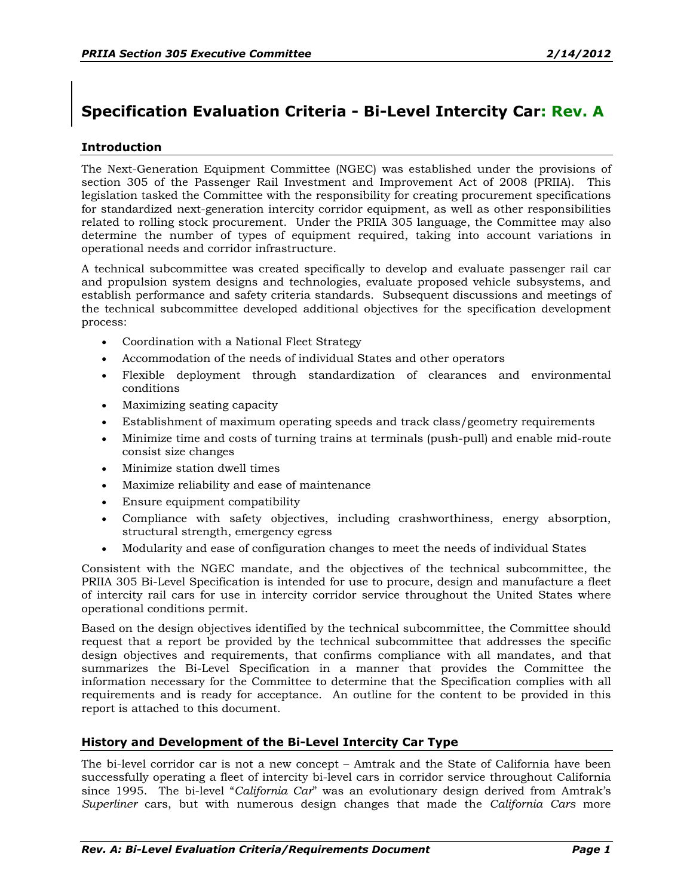# **Specification Evaluation Criteria - Bi-Level Intercity Car: Rev. A**

## **Introduction**

The Next-Generation Equipment Committee (NGEC) was established under the provisions of section 305 of the Passenger Rail Investment and Improvement Act of 2008 (PRIIA). This legislation tasked the Committee with the responsibility for creating procurement specifications for standardized next-generation intercity corridor equipment, as well as other responsibilities related to rolling stock procurement. Under the PRIIA 305 language, the Committee may also determine the number of types of equipment required, taking into account variations in operational needs and corridor infrastructure.

A technical subcommittee was created specifically to develop and evaluate passenger rail car and propulsion system designs and technologies, evaluate proposed vehicle subsystems, and establish performance and safety criteria standards. Subsequent discussions and meetings of the technical subcommittee developed additional objectives for the specification development process:

- Coordination with a National Fleet Strategy
- Accommodation of the needs of individual States and other operators
- x Flexible deployment through standardization of clearances and environmental conditions
- Maximizing seating capacity
- Establishment of maximum operating speeds and track class/geometry requirements
- x Minimize time and costs of turning trains at terminals (push-pull) and enable mid-route consist size changes
- Minimize station dwell times
- Maximize reliability and ease of maintenance
- Ensure equipment compatibility
- Compliance with safety objectives, including crashworthiness, energy absorption, structural strength, emergency egress
- x Modularity and ease of configuration changes to meet the needs of individual States

Consistent with the NGEC mandate, and the objectives of the technical subcommittee, the PRIIA 305 Bi-Level Specification is intended for use to procure, design and manufacture a fleet of intercity rail cars for use in intercity corridor service throughout the United States where operational conditions permit.

Based on the design objectives identified by the technical subcommittee, the Committee should request that a report be provided by the technical subcommittee that addresses the specific design objectives and requirements, that confirms compliance with all mandates, and that summarizes the Bi-Level Specification in a manner that provides the Committee the information necessary for the Committee to determine that the Specification complies with all requirements and is ready for acceptance. An outline for the content to be provided in this report is attached to this document.

## **History and Development of the Bi-Level Intercity Car Type**

The bi-level corridor car is not a new concept - Amtrak and the State of California have been successfully operating a fleet of intercity bi-level cars in corridor service throughout California since 1995. The bi-level "California Car" was an evolutionary design derived from Amtrak's *Superliner* cars, but with numerous design changes that made the *California Cars* more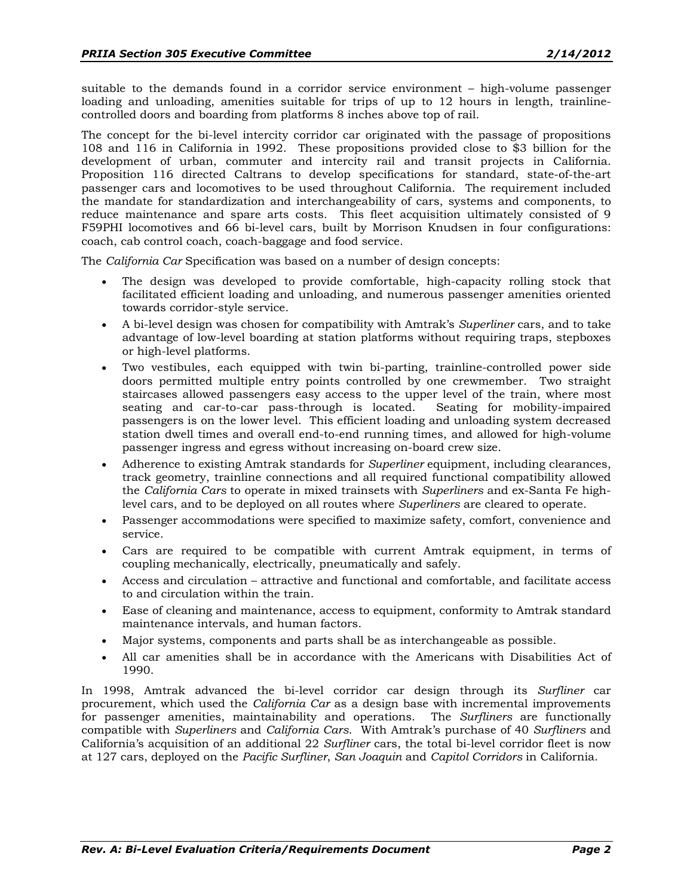suitable to the demands found in a corridor service environment  $-$  high-volume passenger loading and unloading, amenities suitable for trips of up to 12 hours in length, trainlinecontrolled doors and boarding from platforms 8 inches above top of rail.

The concept for the bi-level intercity corridor car originated with the passage of propositions 108 and 116 in California in 1992. These propositions provided close to \$3 billion for the development of urban, commuter and intercity rail and transit projects in California. Proposition 116 directed Caltrans to develop specifications for standard, state-of-the-art passenger cars and locomotives to be used throughout California. The requirement included the mandate for standardization and interchangeability of cars, systems and components, to reduce maintenance and spare arts costs. This fleet acquisition ultimately consisted of 9 F59PHI locomotives and 66 bi-level cars, built by Morrison Knudsen in four configurations: coach, cab control coach, coach-baggage and food service.

The *California Car* Specification was based on a number of design concepts:

- The design was developed to provide comfortable, high-capacity rolling stock that facilitated efficient loading and unloading, and numerous passenger amenities oriented towards corridor-style service.
- x A bi-level design was chosen for compatibility with Amtrak\s *Superliner* cars, and to take advantage of low-level boarding at station platforms without requiring traps, stepboxes or high-level platforms.
- Two vestibules, each equipped with twin bi-parting, trainline-controlled power side doors permitted multiple entry points controlled by one crewmember. Two straight staircases allowed passengers easy access to the upper level of the train, where most seating and car-to-car pass-through is located. Seating for mobility-impaired passengers is on the lower level. This efficient loading and unloading system decreased station dwell times and overall end-to-end running times, and allowed for high-volume passenger ingress and egress without increasing on-board crew size.
- x Adherence to existing Amtrak standards for *Superliner* equipment, including clearances, track geometry, trainline connections and all required functional compatibility allowed the *California Cars* to operate in mixed trainsets with *Superliners* and ex-Santa Fe highlevel cars, and to be deployed on all routes where *Superliners* are cleared to operate.
- Passenger accommodations were specified to maximize safety, comfort, convenience and service.
- x Cars are required to be compatible with current Amtrak equipment, in terms of coupling mechanically, electrically, pneumatically and safely.
- Access and circulation attractive and functional and comfortable, and facilitate access to and circulation within the train.
- x Ease of cleaning and maintenance, access to equipment, conformity to Amtrak standard maintenance intervals, and human factors.
- x Major systems, components and parts shall be as interchangeable as possible.
- All car amenities shall be in accordance with the Americans with Disabilities Act of 1990.

In 1998, Amtrak advanced the bi-level corridor car design through its *Surfliner* car procurement, which used the *California Car* as a design base with incremental improvements for passenger amenities, maintainability and operations. The *Surfliners* are functionally compatible with *Superliners* and *California Cars*. With Amtrak's purchase of 40 *Surfliners* and California's acquisition of an additional 22 *Surfliner* cars, the total bi-level corridor fleet is now at 127 cars, deployed on the *Pacific Surfliner*, *San Joaquin* and *Capitol Corridors* in California.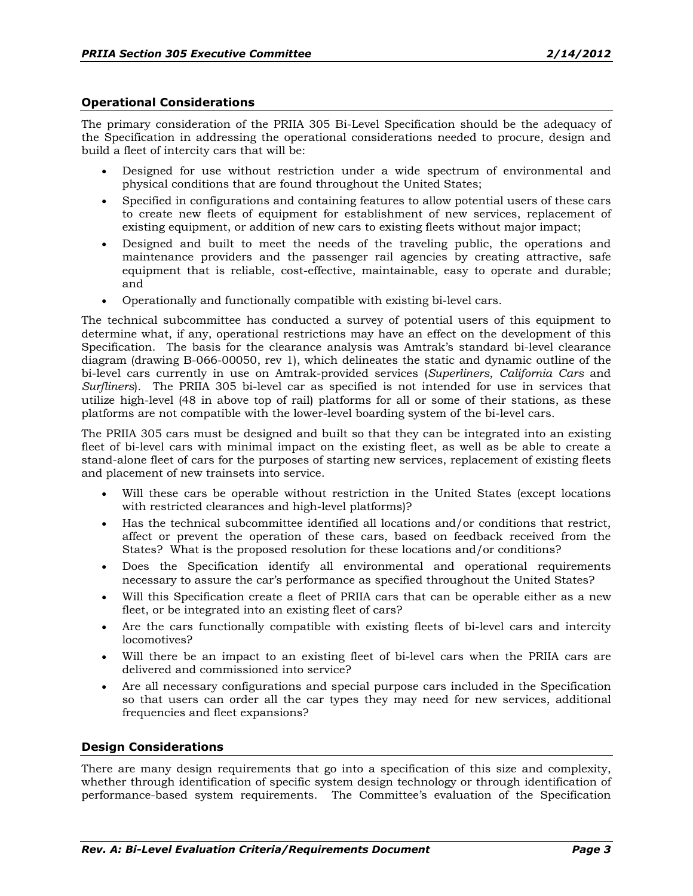#### **Operational Considerations**

The primary consideration of the PRIIA 305 Bi-Level Specification should be the adequacy of the Specification in addressing the operational considerations needed to procure, design and build a fleet of intercity cars that will be:

- Designed for use without restriction under a wide spectrum of environmental and physical conditions that are found throughout the United States;
- Specified in configurations and containing features to allow potential users of these cars to create new fleets of equipment for establishment of new services, replacement of existing equipment, or addition of new cars to existing fleets without major impact;
- Designed and built to meet the needs of the traveling public, the operations and maintenance providers and the passenger rail agencies by creating attractive, safe equipment that is reliable, cost-effective, maintainable, easy to operate and durable; and
- Operationally and functionally compatible with existing bi-level cars.

The technical subcommittee has conducted a survey of potential users of this equipment to determine what, if any, operational restrictions may have an effect on the development of this Specification. The basis for the clearance analysis was Amtrak's standard bi-level clearance diagram (drawing B-066-00050, rev 1), which delineates the static and dynamic outline of the bi-level cars currently in use on Amtrak-provided services (*Superliners*, *California Cars* and *Surfliners*). The PRIIA 305 bi-level car as specified is not intended for use in services that utilize high-level (48 in above top of rail) platforms for all or some of their stations, as these platforms are not compatible with the lower-level boarding system of the bi-level cars.

The PRIIA 305 cars must be designed and built so that they can be integrated into an existing fleet of bi-level cars with minimal impact on the existing fleet, as well as be able to create a stand-alone fleet of cars for the purposes of starting new services, replacement of existing fleets and placement of new trainsets into service.

- Will these cars be operable without restriction in the United States (except locations with restricted clearances and high-level platforms)?
- x Has the technical subcommittee identified all locations and/or conditions that restrict, affect or prevent the operation of these cars, based on feedback received from the States? What is the proposed resolution for these locations and/or conditions?
- x Does the Specification identify all environmental and operational requirements necessary to assure the car's performance as specified throughout the United States?
- Will this Specification create a fleet of PRIIA cars that can be operable either as a new fleet, or be integrated into an existing fleet of cars?
- x Are the cars functionally compatible with existing fleets of bi-level cars and intercity locomotives?
- Will there be an impact to an existing fleet of bi-level cars when the PRIIA cars are delivered and commissioned into service?
- Are all necessary configurations and special purpose cars included in the Specification so that users can order all the car types they may need for new services, additional frequencies and fleet expansions?

#### **Design Considerations**

There are many design requirements that go into a specification of this size and complexity, whether through identification of specific system design technology or through identification of performance-based system requirements. The Committee's evaluation of the Specification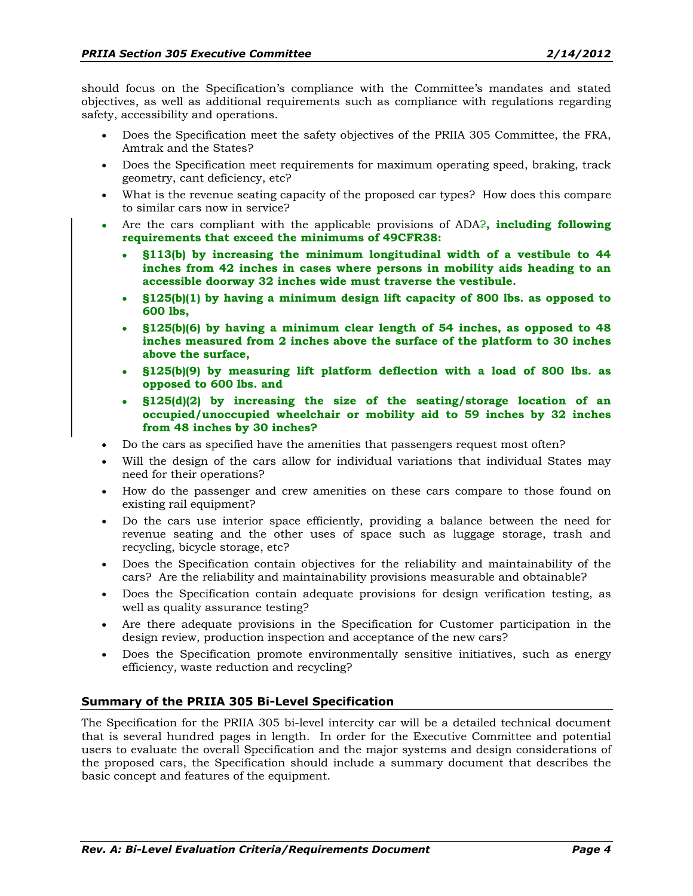should focus on the Specification's compliance with the Committee's mandates and stated objectives, as well as additional requirements such as compliance with regulations regarding safety, accessibility and operations.

- Does the Specification meet the safety objectives of the PRIIA 305 Committee, the FRA, Amtrak and the States?
- Does the Specification meet requirements for maximum operating speed, braking, track geometry, cant deficiency, etc?
- x What is the revenue seating capacity of the proposed car types? How does this compare to similar cars now in service?
- x Are the cars compliant with the applicable provisions of ADA?**, including following requirements that exceed the minimums of 49CFR38:** 
	- x **§113(b) by increasing the minimum longitudinal width of a vestibule to 44 inches from 42 inches in cases where persons in mobility aids heading to an accessible doorway 32 inches wide must traverse the vestibule.**
	- x **§125(b)(1) by having a minimum design lift capacity of 800 lbs. as opposed to 600 lbs,**
	- x **§125(b)(6) by having a minimum clear length of 54 inches, as opposed to 48 inches measured from 2 inches above the surface of the platform to 30 inches above the surface,**
	- x **§125(b)(9) by measuring lift platform deflection with a load of 800 lbs. as opposed to 600 lbs. and**
	- x **§125(d)(2) by increasing the size of the seating/storage location of an occupied/unoccupied wheelchair or mobility aid to 59 inches by 32 inches from 48 inches by 30 inches?**
- Do the cars as specified have the amenities that passengers request most often?
- Will the design of the cars allow for individual variations that individual States may need for their operations?
- x How do the passenger and crew amenities on these cars compare to those found on existing rail equipment?
- Do the cars use interior space efficiently, providing a balance between the need for revenue seating and the other uses of space such as luggage storage, trash and recycling, bicycle storage, etc?
- Does the Specification contain objectives for the reliability and maintainability of the cars? Are the reliability and maintainability provisions measurable and obtainable?
- x Does the Specification contain adequate provisions for design verification testing, as well as quality assurance testing?
- Are there adequate provisions in the Specification for Customer participation in the design review, production inspection and acceptance of the new cars?
- Does the Specification promote environmentally sensitive initiatives, such as energy efficiency, waste reduction and recycling?

## **Summary of the PRIIA 305 Bi-Level Specification**

The Specification for the PRIIA 305 bi-level intercity car will be a detailed technical document that is several hundred pages in length. In order for the Executive Committee and potential users to evaluate the overall Specification and the major systems and design considerations of the proposed cars, the Specification should include a summary document that describes the basic concept and features of the equipment.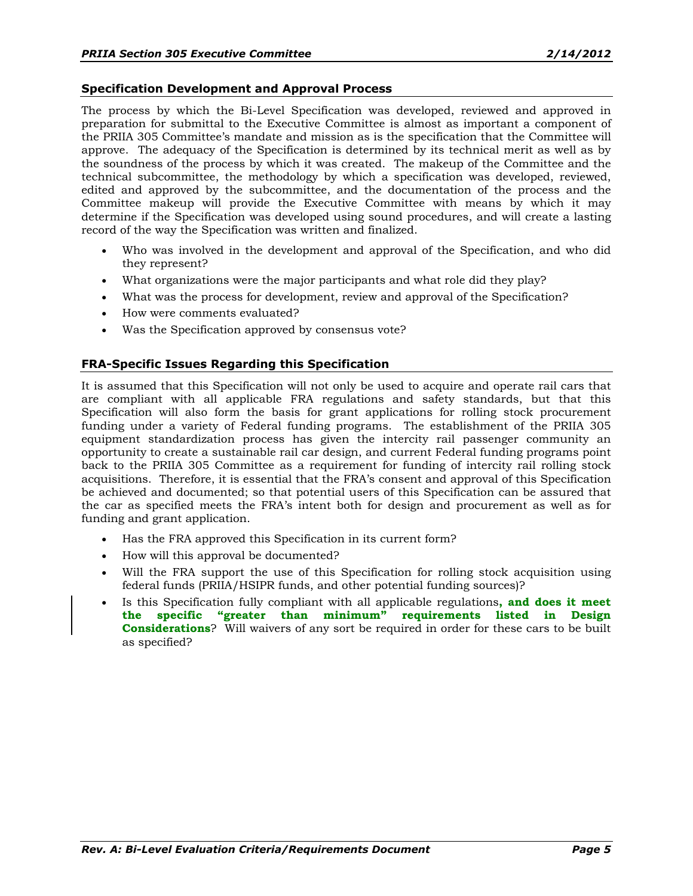#### **Specification Development and Approval Process**

The process by which the Bi-Level Specification was developed, reviewed and approved in preparation for submittal to the Executive Committee is almost as important a component of the PRIIA 305 Committee's mandate and mission as is the specification that the Committee will approve. The adequacy of the Specification is determined by its technical merit as well as by the soundness of the process by which it was created. The makeup of the Committee and the technical subcommittee, the methodology by which a specification was developed, reviewed, edited and approved by the subcommittee, and the documentation of the process and the Committee makeup will provide the Executive Committee with means by which it may determine if the Specification was developed using sound procedures, and will create a lasting record of the way the Specification was written and finalized.

- x Who was involved in the development and approval of the Specification, and who did they represent?
- What organizations were the major participants and what role did they play?
- What was the process for development, review and approval of the Specification?
- How were comments evaluated?
- Was the Specification approved by consensus vote?

## **FRA-Specific Issues Regarding this Specification**

It is assumed that this Specification will not only be used to acquire and operate rail cars that are compliant with all applicable FRA regulations and safety standards, but that this Specification will also form the basis for grant applications for rolling stock procurement funding under a variety of Federal funding programs. The establishment of the PRIIA 305 equipment standardization process has given the intercity rail passenger community an opportunity to create a sustainable rail car design, and current Federal funding programs point back to the PRIIA 305 Committee as a requirement for funding of intercity rail rolling stock acquisitions. Therefore, it is essential that the FRA's consent and approval of this Specification be achieved and documented; so that potential users of this Specification can be assured that the car as specified meets the FRA's intent both for design and procurement as well as for funding and grant application.

- Has the FRA approved this Specification in its current form?
- How will this approval be documented?
- Will the FRA support the use of this Specification for rolling stock acquisition using federal funds (PRIIA/HSIPR funds, and other potential funding sources)?
- x Is this Specification fully compliant with all applicable regulations**, and does it meet**  the specific "greater than minimum" requirements listed in Design **Considerations**? Will waivers of any sort be required in order for these cars to be built as specified?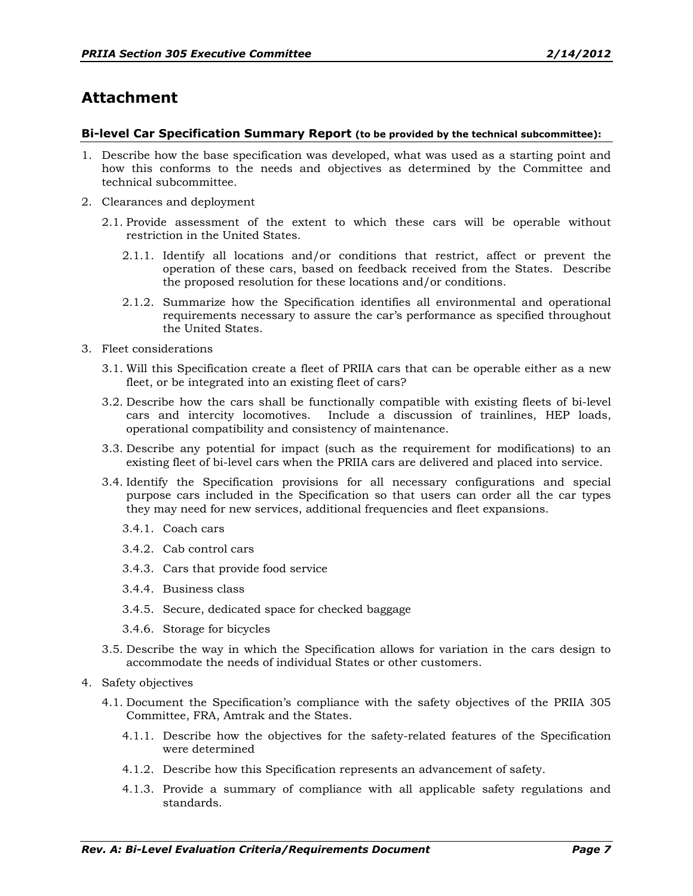## **Attachment**

#### **Bi-level Car Specification Summary Report (to be provided by the technical subcommittee):**

- 1. Describe how the base specification was developed, what was used as a starting point and how this conforms to the needs and objectives as determined by the Committee and technical subcommittee.
- 2. Clearances and deployment
	- 2.1. Provide assessment of the extent to which these cars will be operable without restriction in the United States.
		- 2.1.1. Identify all locations and/or conditions that restrict, affect or prevent the operation of these cars, based on feedback received from the States. Describe the proposed resolution for these locations and/or conditions.
		- 2.1.2. Summarize how the Specification identifies all environmental and operational requirements necessary to assure the car's performance as specified throughout the United States.
- 3. Fleet considerations
	- 3.1. Will this Specification create a fleet of PRIIA cars that can be operable either as a new fleet, or be integrated into an existing fleet of cars?
	- 3.2. Describe how the cars shall be functionally compatible with existing fleets of bi-level cars and intercity locomotives. Include a discussion of trainlines, HEP loads, operational compatibility and consistency of maintenance.
	- 3.3. Describe any potential for impact (such as the requirement for modifications) to an existing fleet of bi-level cars when the PRIIA cars are delivered and placed into service.
	- 3.4. Identify the Specification provisions for all necessary configurations and special purpose cars included in the Specification so that users can order all the car types they may need for new services, additional frequencies and fleet expansions.
		- 3.4.1. Coach cars
		- 3.4.2. Cab control cars
		- 3.4.3. Cars that provide food service
		- 3.4.4. Business class
		- 3.4.5. Secure, dedicated space for checked baggage
		- 3.4.6. Storage for bicycles
	- 3.5. Describe the way in which the Specification allows for variation in the cars design to accommodate the needs of individual States or other customers.
- 4. Safety objectives
	- 4.1. Document the Specification's compliance with the safety objectives of the PRIIA 305 Committee, FRA, Amtrak and the States.
		- 4.1.1. Describe how the objectives for the safety-related features of the Specification were determined
		- 4.1.2. Describe how this Specification represents an advancement of safety.
		- 4.1.3. Provide a summary of compliance with all applicable safety regulations and standards.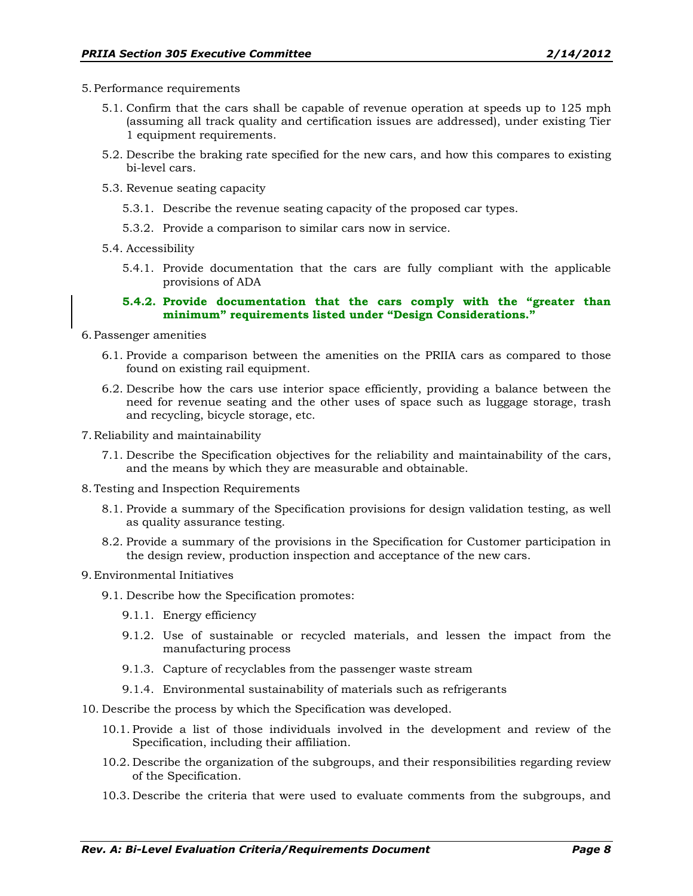- 5.Performance requirements
	- 5.1. Confirm that the cars shall be capable of revenue operation at speeds up to 125 mph (assuming all track quality and certification issues are addressed), under existing Tier 1 equipment requirements.
	- 5.2. Describe the braking rate specified for the new cars, and how this compares to existing bi-level cars.
	- 5.3. Revenue seating capacity
		- 5.3.1. Describe the revenue seating capacity of the proposed car types.
		- 5.3.2. Provide a comparison to similar cars now in service.
	- 5.4. Accessibility
		- 5.4.1. Provide documentation that the cars are fully compliant with the applicable provisions of ADA

#### **5.4.2. Provide documentation that the cars comply with the "greater than** minimum" requirements listed under "Design Considerations."

- 6.Passenger amenities
	- 6.1. Provide a comparison between the amenities on the PRIIA cars as compared to those found on existing rail equipment.
	- 6.2. Describe how the cars use interior space efficiently, providing a balance between the need for revenue seating and the other uses of space such as luggage storage, trash and recycling, bicycle storage, etc.
- 7. Reliability and maintainability
	- 7.1. Describe the Specification objectives for the reliability and maintainability of the cars, and the means by which they are measurable and obtainable.
- 8.Testing and Inspection Requirements
	- 8.1. Provide a summary of the Specification provisions for design validation testing, as well as quality assurance testing.
	- 8.2. Provide a summary of the provisions in the Specification for Customer participation in the design review, production inspection and acceptance of the new cars.
- 9. Environmental Initiatives
	- 9.1. Describe how the Specification promotes:
		- 9.1.1. Energy efficiency
		- 9.1.2. Use of sustainable or recycled materials, and lessen the impact from the manufacturing process
		- 9.1.3. Capture of recyclables from the passenger waste stream
		- 9.1.4. Environmental sustainability of materials such as refrigerants
- 10. Describe the process by which the Specification was developed.
	- 10.1. Provide a list of those individuals involved in the development and review of the Specification, including their affiliation.
	- 10.2. Describe the organization of the subgroups, and their responsibilities regarding review of the Specification.
	- 10.3. Describe the criteria that were used to evaluate comments from the subgroups, and